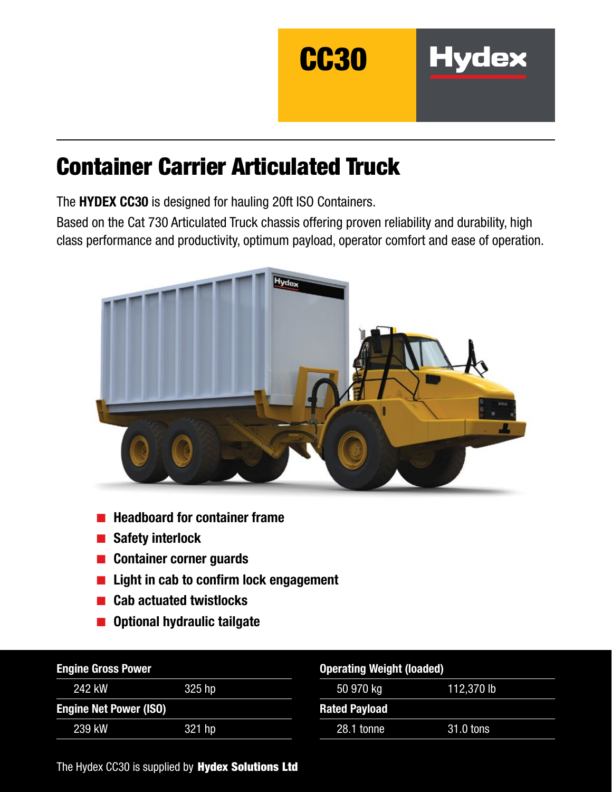

**Hydex** 

# Container Carrier Articulated Truck

The HYDEX CC30 is designed for hauling 20ft ISO Containers.

Based on the Cat 730 Articulated Truck chassis offering proven reliability and durability, high class performance and productivity, optimum payload, operator comfort and ease of operation.



- Headboard for container frame
- Safety interlock
- Container corner guards
- Light in cab to confirm lock engagement
- Cab actuated twistlocks
- Optional hydraulic tailgate

| <b>Engine Gross Power</b>     |        | <b>Operating Weight (loaded)</b> |            |  |
|-------------------------------|--------|----------------------------------|------------|--|
| 242 kW                        | 325 hp | 50 970 kg                        | 112,370 lb |  |
| <b>Engine Net Power (ISO)</b> |        | <b>Rated Payload</b>             |            |  |
| 239 kW                        | 321 hp | 28.1 tonne                       | 31.0 tons  |  |

The Hydex CC30 is supplied by Hydex Solutions Ltd